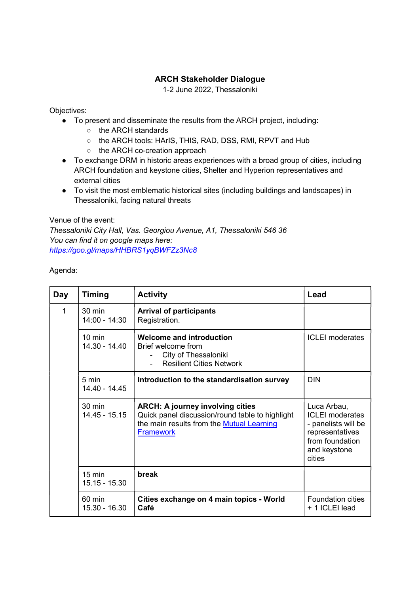## ARCH Stakeholder Dialogue

1-2 June 2022, Thessaloniki

Objectives:

- To present and disseminate the results from the ARCH project, including:
	- the ARCH standards
	- the ARCH tools: HArIS, THIS, RAD, DSS, RMI, RPVT and Hub
	- the ARCH co-creation approach
- To exchange DRM in historic areas experiences with a broad group of cities, including ARCH foundation and keystone cities, Shelter and Hyperion representatives and external cities
- To visit the most emblematic historical sites (including buildings and landscapes) in Thessaloniki, facing natural threats

Venue of the event:

Thessaloniki City Hall, Vas. Georgiou Avenue, A1, Thessaloniki 546 36 You can find it on google maps here: https://goo.gl/maps/HHBRS1yqBWFZz3Nc8

Agenda:

| Day | <b>Timing</b>                     | <b>Activity</b>                                                                                                                                             | Lead                                                                                                                         |
|-----|-----------------------------------|-------------------------------------------------------------------------------------------------------------------------------------------------------------|------------------------------------------------------------------------------------------------------------------------------|
| 1   | 30 min<br>$14:00 - 14:30$         | <b>Arrival of participants</b><br>Registration.                                                                                                             |                                                                                                                              |
|     | $10 \text{ min}$<br>14.30 - 14.40 | <b>Welcome and introduction</b><br>Brief welcome from<br>City of Thessaloniki<br><b>Resilient Cities Network</b>                                            | <b>ICLEI</b> moderates                                                                                                       |
|     | $5 \text{ min}$<br>14.40 - 14.45  | Introduction to the standardisation survey                                                                                                                  | <b>DIN</b>                                                                                                                   |
|     | $30 \text{ min}$<br>14.45 - 15.15 | <b>ARCH: A journey involving cities</b><br>Quick panel discussion/round table to highlight<br>the main results from the Mutual Learning<br><b>Framework</b> | Luca Arbau,<br><b>ICLEI</b> moderates<br>- panelists will be<br>representatives<br>from foundation<br>and keystone<br>cities |
|     | $15 \text{ min}$<br>15.15 - 15.30 | break                                                                                                                                                       |                                                                                                                              |
|     | 60 min<br>15.30 - 16.30           | Cities exchange on 4 main topics - World<br>Café                                                                                                            | <b>Foundation cities</b><br>+ 1 ICLEI lead                                                                                   |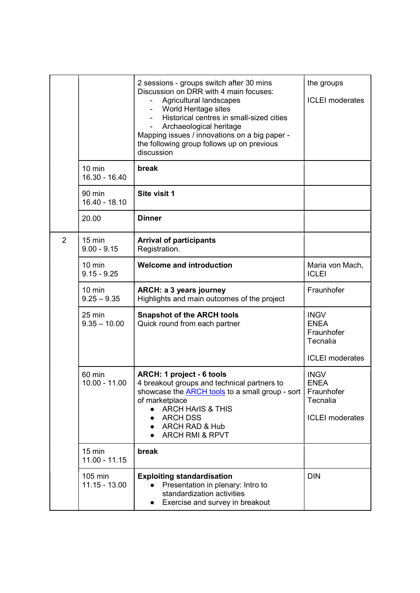|                |                                     | 2 sessions - groups switch after 30 mins<br>Discussion on DRR with 4 main focuses:<br>Agricultural landscapes<br>World Heritage sites<br>Historical centres in small-sized cities<br>Archaeological heritage<br>Mapping issues / innovations on a big paper -<br>the following group follows up on previous<br>discussion | the groups<br><b>ICLEI</b> moderates                                           |
|----------------|-------------------------------------|---------------------------------------------------------------------------------------------------------------------------------------------------------------------------------------------------------------------------------------------------------------------------------------------------------------------------|--------------------------------------------------------------------------------|
|                | $10 \text{ min}$<br>16.30 - 16.40   | break                                                                                                                                                                                                                                                                                                                     |                                                                                |
|                | 90 min<br>16.40 - 18.10             | Site visit 1                                                                                                                                                                                                                                                                                                              |                                                                                |
|                | 20.00                               | <b>Dinner</b>                                                                                                                                                                                                                                                                                                             |                                                                                |
| $\overline{2}$ | $15 \text{ min}$<br>$9.00 - 9.15$   | <b>Arrival of participants</b><br>Registration.                                                                                                                                                                                                                                                                           |                                                                                |
|                | $10 \text{ min}$<br>$9.15 - 9.25$   | <b>Welcome and introduction</b>                                                                                                                                                                                                                                                                                           | Maria von Mach,<br><b>ICLEI</b>                                                |
|                | $10 \text{ min}$<br>$9.25 - 9.35$   | ARCH: a 3 years journey<br>Highlights and main outcomes of the project                                                                                                                                                                                                                                                    | Fraunhofer                                                                     |
|                | $25$ min<br>$9.35 - 10.00$          | <b>Snapshot of the ARCH tools</b><br>Quick round from each partner                                                                                                                                                                                                                                                        | <b>INGV</b><br><b>ENEA</b><br>Fraunhofer<br>Tecnalia<br><b>ICLEI</b> moderates |
|                | 60 min<br>$10.00 - 11.00$           | ARCH: 1 project - 6 tools<br>4 breakout groups and technical partners to<br>showcase the <b>ARCH</b> tools to a small group - sort<br>of marketplace<br><b>ARCH HArIS &amp; THIS</b><br><b>ARCH DSS</b><br>$\bullet$<br><b>ARCH RAD &amp; Hub</b><br><b>ARCH RMI &amp; RPVT</b>                                           | <b>INGV</b><br><b>ENEA</b><br>Fraunhofer<br>Tecnalia<br><b>ICLEI</b> moderates |
|                | $15 \text{ min}$<br>$11.00 - 11.15$ | break                                                                                                                                                                                                                                                                                                                     |                                                                                |
|                | 105 min<br>$11.15 - 13.00$          | <b>Exploiting standardisation</b><br>Presentation in plenary: Intro to<br>standardization activities<br>Exercise and survey in breakout                                                                                                                                                                                   | <b>DIN</b>                                                                     |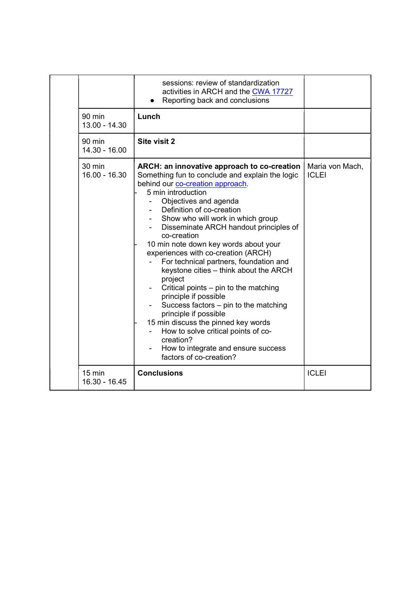|                         | sessions: review of standardization<br>activities in ARCH and the CWA 17727<br>Reporting back and conclusions                                                                                                                                                                                                                                                                                                                                                                                                                                                                                                                                                                                                                                                                                  |                                 |
|-------------------------|------------------------------------------------------------------------------------------------------------------------------------------------------------------------------------------------------------------------------------------------------------------------------------------------------------------------------------------------------------------------------------------------------------------------------------------------------------------------------------------------------------------------------------------------------------------------------------------------------------------------------------------------------------------------------------------------------------------------------------------------------------------------------------------------|---------------------------------|
| 90 min<br>13.00 - 14.30 | Lunch                                                                                                                                                                                                                                                                                                                                                                                                                                                                                                                                                                                                                                                                                                                                                                                          |                                 |
| 90 min<br>14.30 - 16.00 | Site visit 2                                                                                                                                                                                                                                                                                                                                                                                                                                                                                                                                                                                                                                                                                                                                                                                   |                                 |
| 30 min<br>16.00 - 16.30 | ARCH: an innovative approach to co-creation<br>Something fun to conclude and explain the logic<br>behind our co-creation approach.<br>5 min introduction<br>Objectives and agenda<br>Definition of co-creation<br>Show who will work in which group<br>Disseminate ARCH handout principles of<br>co-creation<br>10 min note down key words about your<br>experiences with co-creation (ARCH)<br>For technical partners, foundation and<br>keystone cities - think about the ARCH<br>project<br>Critical points – pin to the matching<br>principle if possible<br>Success factors $-$ pin to the matching<br>principle if possible<br>15 min discuss the pinned key words<br>How to solve critical points of co-<br>creation?<br>How to integrate and ensure success<br>factors of co-creation? | Maria von Mach,<br><b>ICLEI</b> |
| 15 min<br>16.30 - 16.45 | <b>Conclusions</b>                                                                                                                                                                                                                                                                                                                                                                                                                                                                                                                                                                                                                                                                                                                                                                             | <b>ICLEI</b>                    |